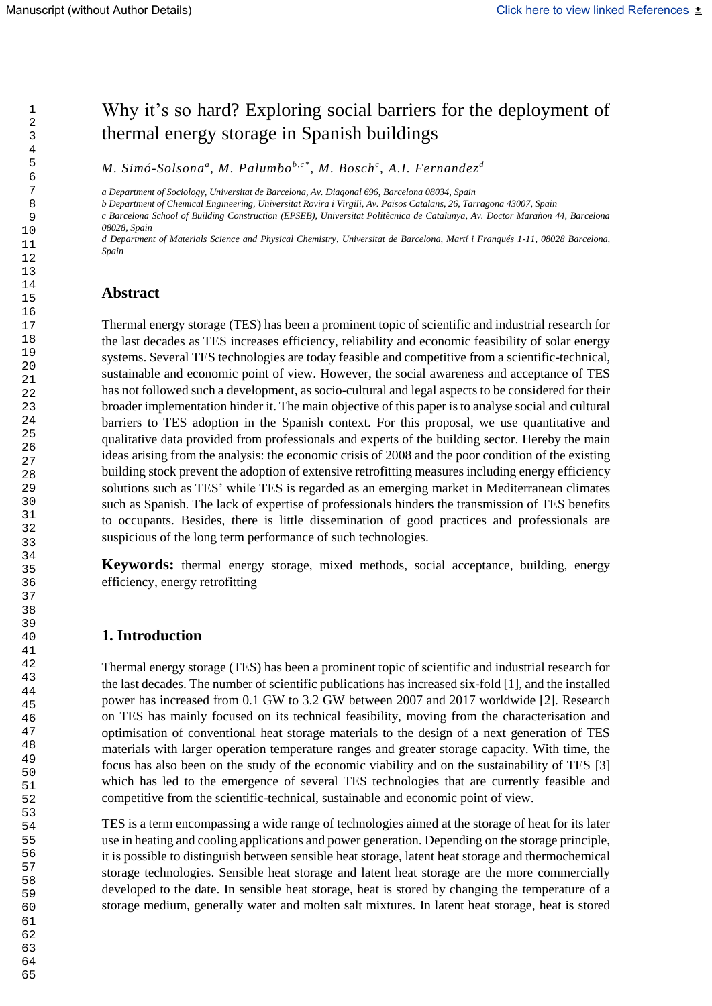# Why it's so hard? Exploring social barriers for the deployment of thermal energy storage in Spanish buildings

*M. Simó-Solsona<sup>a</sup> , M. Palumbob,c\*, M. Bosch<sup>c</sup> , A.I. Fernandez <sup>d</sup>*

*a Department of Sociology, Universitat de Barcelona, Av. Diagonal 696, Barcelona 08034, Spain*

*b Department of Chemical Engineering, Universitat Rovira i Virgili, Av. Països Catalans, 26, Tarragona 43007, Spain* 

*c Barcelona School of Building Construction (EPSEB), Universitat Politècnica de Catalunya, Av. Doctor Marañon 44, Barcelona 08028, Spain*

*d Department of Materials Science and Physical Chemistry, Universitat de Barcelona, Martí i Franqués 1-11, 08028 Barcelona, Spain*

# **Abstract**

Thermal energy storage (TES) has been a prominent topic of scientific and industrial research for the last decades as TES increases efficiency, reliability and economic feasibility of solar energy systems. Several TES technologies are today feasible and competitive from a scientific-technical, sustainable and economic point of view. However, the social awareness and acceptance of TES has not followed such a development, as socio-cultural and legal aspects to be considered for their broader implementation hinder it. The main objective of this paper is to analyse social and cultural barriers to TES adoption in the Spanish context. For this proposal, we use quantitative and qualitative data provided from professionals and experts of the building sector. Hereby the main ideas arising from the analysis: the economic crisis of 2008 and the poor condition of the existing building stock prevent the adoption of extensive retrofitting measures including energy efficiency solutions such as TES' while TES is regarded as an emerging market in Mediterranean climates such as Spanish. The lack of expertise of professionals hinders the transmission of TES benefits to occupants. Besides, there is little dissemination of good practices and professionals are suspicious of the long term performance of such technologies.

**Keywords:** thermal energy storage, mixed methods, social acceptance, building, energy efficiency, energy retrofitting

### **1. Introduction**

Thermal energy storage (TES) has been a prominent topic of scientific and industrial research for the last decades. The number of scientific publications has increased six-fold [1], and the installed power has increased from 0.1 GW to 3.2 GW between 2007 and 2017 worldwide [2]. Research on TES has mainly focused on its technical feasibility, moving from the characterisation and optimisation of conventional heat storage materials to the design of a next generation of TES materials with larger operation temperature ranges and greater storage capacity. With time, the focus has also been on the study of the economic viability and on the sustainability of TES [3] which has led to the emergence of several TES technologies that are currently feasible and competitive from the scientific-technical, sustainable and economic point of view.

TES is a term encompassing a wide range of technologies aimed at the storage of heat for its later use in heating and cooling applications and power generation. Depending on the storage principle, it is possible to distinguish between sensible heat storage, latent heat storage and thermochemical storage technologies. Sensible heat storage and latent heat storage are the more commercially developed to the date. In sensible heat storage, heat is stored by changing the temperature of a storage medium, generally water and molten salt mixtures. In latent heat storage, heat is stored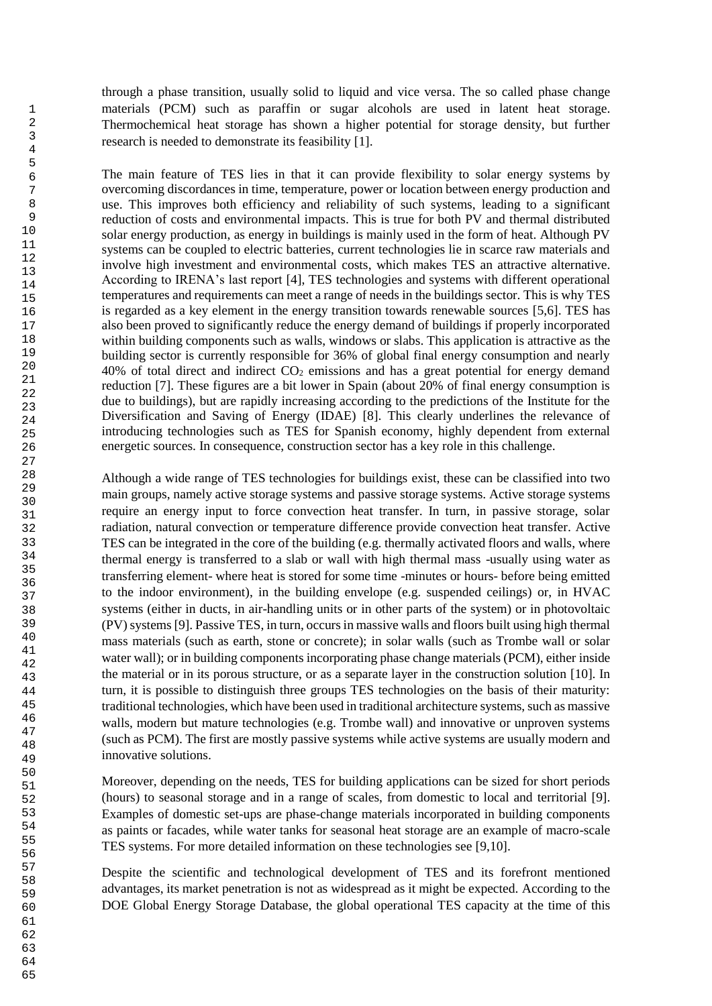through a phase transition, usually solid to liquid and vice versa. The so called phase change materials (PCM) such as paraffin or sugar alcohols are used in latent heat storage. Thermochemical heat storage has shown a higher potential for storage density, but further research is needed to demonstrate its feasibility [1].

The main feature of TES lies in that it can provide flexibility to solar energy systems by overcoming discordances in time, temperature, power or location between energy production and use. This improves both efficiency and reliability of such systems, leading to a significant reduction of costs and environmental impacts. This is true for both PV and thermal distributed solar energy production, as energy in buildings is mainly used in the form of heat. Although PV systems can be coupled to electric batteries, current technologies lie in scarce raw materials and involve high investment and environmental costs, which makes TES an attractive alternative. According to IRENA's last report [4], TES technologies and systems with different operational temperatures and requirements can meet a range of needs in the buildings sector. This is why TES is regarded as a key element in the energy transition towards renewable sources [5,6]. TES has also been proved to significantly reduce the energy demand of buildings if properly incorporated within building components such as walls, windows or slabs. This application is attractive as the building sector is currently responsible for 36% of global final energy consumption and nearly  $40\%$  of total direct and indirect  $CO<sub>2</sub>$  emissions and has a great potential for energy demand reduction [7]. These figures are a bit lower in Spain (about 20% of final energy consumption is due to buildings), but are rapidly increasing according to the predictions of the Institute for the Diversification and Saving of Energy (IDAE) [8]. This clearly underlines the relevance of introducing technologies such as TES for Spanish economy, highly dependent from external energetic sources. In consequence, construction sector has a key role in this challenge.

Although a wide range of TES technologies for buildings exist, these can be classified into two main groups, namely active storage systems and passive storage systems. Active storage systems require an energy input to force convection heat transfer. In turn, in passive storage, solar radiation, natural convection or temperature difference provide convection heat transfer. Active TES can be integrated in the core of the building (e.g. thermally activated floors and walls, where thermal energy is transferred to a slab or wall with high thermal mass -usually using water as transferring element- where heat is stored for some time -minutes or hours- before being emitted to the indoor environment), in the building envelope (e.g. suspended ceilings) or, in HVAC systems (either in ducts, in air-handling units or in other parts of the system) or in photovoltaic (PV) systems [9]. Passive TES, in turn, occursin massive walls and floors built using high thermal mass materials (such as earth, stone or concrete); in solar walls (such as Trombe wall or solar water wall); or in building components incorporating phase change materials (PCM), either inside the material or in its porous structure, or as a separate layer in the construction solution [10]. In turn, it is possible to distinguish three groups TES technologies on the basis of their maturity: traditional technologies, which have been used in traditional architecture systems, such as massive walls, modern but mature technologies (e.g. Trombe wall) and innovative or unproven systems (such as PCM). The first are mostly passive systems while active systems are usually modern and innovative solutions.

Moreover, depending on the needs, TES for building applications can be sized for short periods (hours) to seasonal storage and in a range of scales, from domestic to local and territorial [9]. Examples of domestic set-ups are phase-change materials incorporated in building components as paints or facades, while water tanks for seasonal heat storage are an example of macro-scale TES systems. For more detailed information on these technologies see [9,10].

Despite the scientific and technological development of TES and its forefront mentioned advantages, its market penetration is not as widespread as it might be expected. According to the DOE Global Energy Storage Database, the global operational TES capacity at the time of this

64 65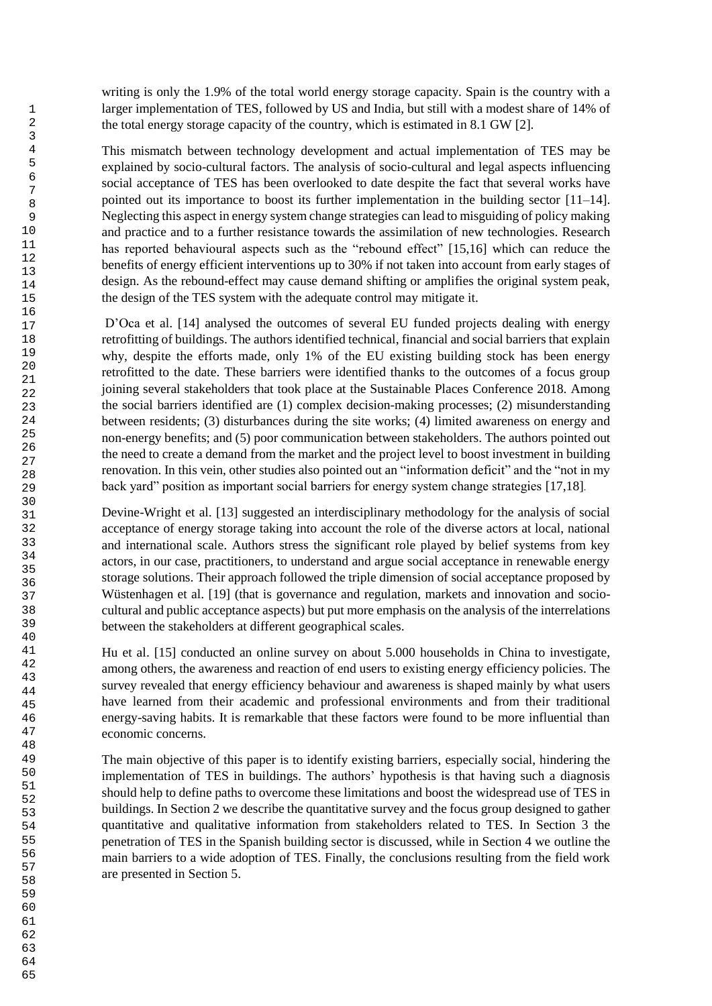writing is only the 1.9% of the total world energy storage capacity. Spain is the country with a larger implementation of TES, followed by US and India, but still with a modest share of 14% of the total energy storage capacity of the country, which is estimated in 8.1 GW [2].

This mismatch between technology development and actual implementation of TES may be explained by socio-cultural factors. The analysis of socio-cultural and legal aspects influencing social acceptance of TES has been overlooked to date despite the fact that several works have pointed out its importance to boost its further implementation in the building sector [11–14]. Neglecting this aspect in energy system change strategies can lead to misguiding of policy making and practice and to a further resistance towards the assimilation of new technologies. Research has reported behavioural aspects such as the "rebound effect" [15,16] which can reduce the benefits of energy efficient interventions up to 30% if not taken into account from early stages of design. As the rebound-effect may cause demand shifting or amplifies the original system peak, the design of the TES system with the adequate control may mitigate it.

D'Oca et al. [14] analysed the outcomes of several EU funded projects dealing with energy retrofitting of buildings. The authors identified technical, financial and social barriers that explain why, despite the efforts made, only 1% of the EU existing building stock has been energy retrofitted to the date. These barriers were identified thanks to the outcomes of a focus group joining several stakeholders that took place at the Sustainable Places Conference 2018. Among the social barriers identified are (1) complex decision-making processes; (2) misunderstanding between residents; (3) disturbances during the site works; (4) limited awareness on energy and non-energy benefits; and (5) poor communication between stakeholders. The authors pointed out the need to create a demand from the market and the project level to boost investment in building renovation. In this vein, other studies also pointed out an "information deficit" and the "not in my back yard" position as important social barriers for energy system change strategies [17,18].

Devine-Wright et al. [13] suggested an interdisciplinary methodology for the analysis of social acceptance of energy storage taking into account the role of the diverse actors at local, national and international scale. Authors stress the significant role played by belief systems from key actors, in our case, practitioners, to understand and argue social acceptance in renewable energy storage solutions. Their approach followed the triple dimension of social acceptance proposed by Wüstenhagen et al. [19] (that is governance and regulation, markets and innovation and sociocultural and public acceptance aspects) but put more emphasis on the analysis of the interrelations between the stakeholders at different geographical scales.

Hu et al. [15] conducted an online survey on about 5.000 households in China to investigate, among others, the awareness and reaction of end users to existing energy efficiency policies. The survey revealed that energy efficiency behaviour and awareness is shaped mainly by what users have learned from their academic and professional environments and from their traditional energy-saving habits. It is remarkable that these factors were found to be more influential than economic concerns.

The main objective of this paper is to identify existing barriers, especially social, hindering the implementation of TES in buildings. The authors' hypothesis is that having such a diagnosis should help to define paths to overcome these limitations and boost the widespread use of TES in buildings. In Section 2 we describe the quantitative survey and the focus group designed to gather quantitative and qualitative information from stakeholders related to TES. In Section 3 the penetration of TES in the Spanish building sector is discussed, while in Section 4 we outline the main barriers to a wide adoption of TES. Finally, the conclusions resulting from the field work are presented in Section 5.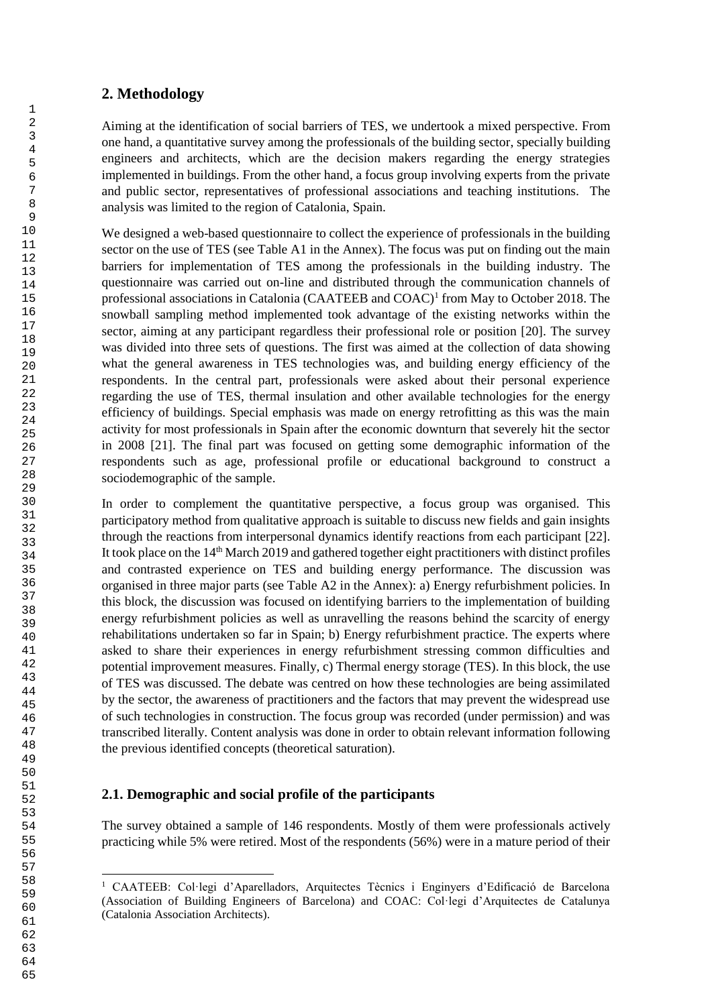## **2. Methodology**

Aiming at the identification of social barriers of TES, we undertook a mixed perspective. From one hand, a quantitative survey among the professionals of the building sector, specially building engineers and architects, which are the decision makers regarding the energy strategies implemented in buildings. From the other hand, a focus group involving experts from the private and public sector, representatives of professional associations and teaching institutions. The analysis was limited to the region of Catalonia, Spain.

We designed a web-based questionnaire to collect the experience of professionals in the building sector on the use of TES (see Table A1 in the Annex). The focus was put on finding out the main barriers for implementation of TES among the professionals in the building industry. The questionnaire was carried out on-line and distributed through the communication channels of professional associations in Catalonia (CAATEEB and COAC)<sup>1</sup> from May to October 2018. The snowball sampling method implemented took advantage of the existing networks within the sector, aiming at any participant regardless their professional role or position [20]. The survey was divided into three sets of questions. The first was aimed at the collection of data showing what the general awareness in TES technologies was, and building energy efficiency of the respondents. In the central part, professionals were asked about their personal experience regarding the use of TES, thermal insulation and other available technologies for the energy efficiency of buildings. Special emphasis was made on energy retrofitting as this was the main activity for most professionals in Spain after the economic downturn that severely hit the sector in 2008 [21]. The final part was focused on getting some demographic information of the respondents such as age, professional profile or educational background to construct a sociodemographic of the sample.

In order to complement the quantitative perspective, a focus group was organised. This participatory method from qualitative approach is suitable to discuss new fields and gain insights through the reactions from interpersonal dynamics identify reactions from each participant [22]. It took place on the  $14<sup>th</sup>$  March 2019 and gathered together eight practitioners with distinct profiles and contrasted experience on TES and building energy performance. The discussion was organised in three major parts (see Table A2 in the Annex): a) Energy refurbishment policies. In this block, the discussion was focused on identifying barriers to the implementation of building energy refurbishment policies as well as unravelling the reasons behind the scarcity of energy rehabilitations undertaken so far in Spain; b) Energy refurbishment practice. The experts where asked to share their experiences in energy refurbishment stressing common difficulties and potential improvement measures. Finally, c) Thermal energy storage (TES). In this block, the use of TES was discussed. The debate was centred on how these technologies are being assimilated by the sector, the awareness of practitioners and the factors that may prevent the widespread use of such technologies in construction. The focus group was recorded (under permission) and was transcribed literally. Content analysis was done in order to obtain relevant information following the previous identified concepts (theoretical saturation).

# **2.1. Demographic and social profile of the participants**

The survey obtained a sample of 146 respondents. Mostly of them were professionals actively practicing while 5% were retired. Most of the respondents (56%) were in a mature period of their

<sup>&</sup>lt;sup>1</sup> CAATEEB: Col·legi d'Aparelladors, Arquitectes Tècnics i Enginyers d'Edificació de Barcelona (Association of Building Engineers of Barcelona) and COAC: Col·legi d'Arquitectes de Catalunya (Catalonia Association Architects).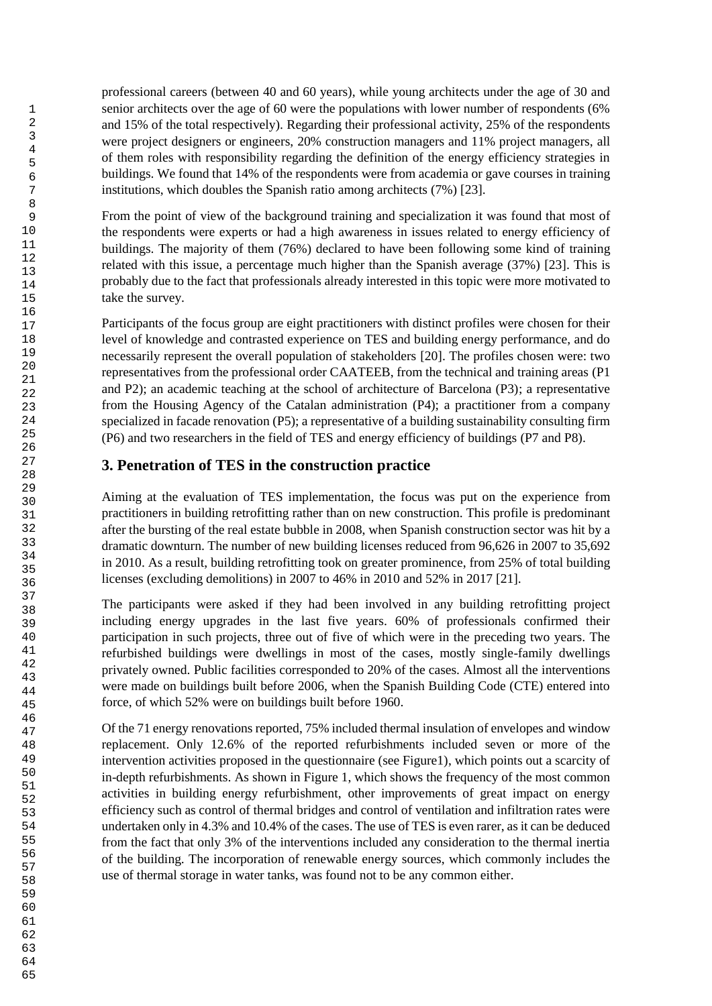professional careers (between 40 and 60 years), while young architects under the age of 30 and senior architects over the age of 60 were the populations with lower number of respondents (6% and 15% of the total respectively). Regarding their professional activity, 25% of the respondents were project designers or engineers, 20% construction managers and 11% project managers, all of them roles with responsibility regarding the definition of the energy efficiency strategies in buildings. We found that 14% of the respondents were from academia or gave courses in training institutions, which doubles the Spanish ratio among architects (7%) [23].

From the point of view of the background training and specialization it was found that most of the respondents were experts or had a high awareness in issues related to energy efficiency of buildings. The majority of them (76%) declared to have been following some kind of training related with this issue, a percentage much higher than the Spanish average (37%) [23]. This is probably due to the fact that professionals already interested in this topic were more motivated to take the survey.

Participants of the focus group are eight practitioners with distinct profiles were chosen for their level of knowledge and contrasted experience on TES and building energy performance, and do necessarily represent the overall population of stakeholders [20]. The profiles chosen were: two representatives from the professional order CAATEEB, from the technical and training areas (P1 and P2); an academic teaching at the school of architecture of Barcelona (P3); a representative from the Housing Agency of the Catalan administration (P4); a practitioner from a company specialized in facade renovation (P5); a representative of a building sustainability consulting firm (P6) and two researchers in the field of TES and energy efficiency of buildings (P7 and P8).

# **3. Penetration of TES in the construction practice**

Aiming at the evaluation of TES implementation, the focus was put on the experience from practitioners in building retrofitting rather than on new construction. This profile is predominant after the bursting of the real estate bubble in 2008, when Spanish construction sector was hit by a dramatic downturn. The number of new building licenses reduced from 96,626 in 2007 to 35,692 in 2010. As a result, building retrofitting took on greater prominence, from 25% of total building licenses (excluding demolitions) in 2007 to 46% in 2010 and 52% in 2017 [21].

The participants were asked if they had been involved in any building retrofitting project including energy upgrades in the last five years. 60% of professionals confirmed their participation in such projects, three out of five of which were in the preceding two years. The refurbished buildings were dwellings in most of the cases, mostly single-family dwellings privately owned. Public facilities corresponded to 20% of the cases. Almost all the interventions were made on buildings built before 2006, when the Spanish Building Code (CTE) entered into force, of which 52% were on buildings built before 1960.

Of the 71 energy renovations reported, 75% included thermal insulation of envelopes and window replacement. Only 12.6% of the reported refurbishments included seven or more of the intervention activities proposed in the questionnaire (see Figure1), which points out a scarcity of in-depth refurbishments. As shown in Figure 1, which shows the frequency of the most common activities in building energy refurbishment, other improvements of great impact on energy efficiency such as control of thermal bridges and control of ventilation and infiltration rates were undertaken only in 4.3% and 10.4% of the cases. The use of TES is even rarer, as it can be deduced from the fact that only 3% of the interventions included any consideration to the thermal inertia of the building. The incorporation of renewable energy sources, which commonly includes the use of thermal storage in water tanks, was found not to be any common either.

65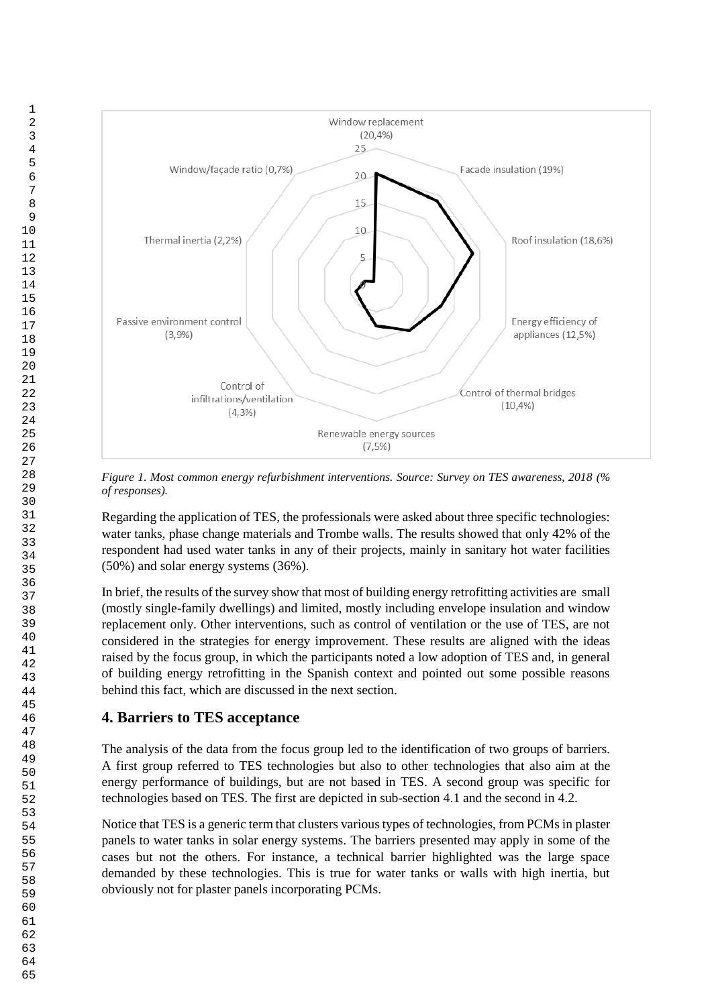

Regarding the application of TES, the professionals were asked about three specific technologies: water tanks, phase change materials and Trombe walls. The results showed that only 42% of the respondent had used water tanks in any of their projects, mainly in sanitary hot water facilities (50%) and solar energy systems (36%).

In brief, the results of the survey show that most of building energy retrofitting activities are small (mostly single-family dwellings) and limited, mostly including envelope insulation and window replacement only. Other interventions, such as control of ventilation or the use of TES, are not considered in the strategies for energy improvement. These results are aligned with the ideas raised by the focus group, in which the participants noted a low adoption of TES and, in general of building energy retrofitting in the Spanish context and pointed out some possible reasons behind this fact, which are discussed in the next section.

# **4. Barriers to TES acceptance**

The analysis of the data from the focus group led to the identification of two groups of barriers. A first group referred to TES technologies but also to other technologies that also aim at the energy performance of buildings, but are not based in TES. A second group was specific for technologies based on TES. The first are depicted in sub-section 4.1 and the second in 4.2.

Notice that TES is a generic term that clusters various types of technologies, from PCMs in plaster panels to water tanks in solar energy systems. The barriers presented may apply in some of the cases but not the others. For instance, a technical barrier highlighted was the large space demanded by these technologies. This is true for water tanks or walls with high inertia, but obviously not for plaster panels incorporating PCMs.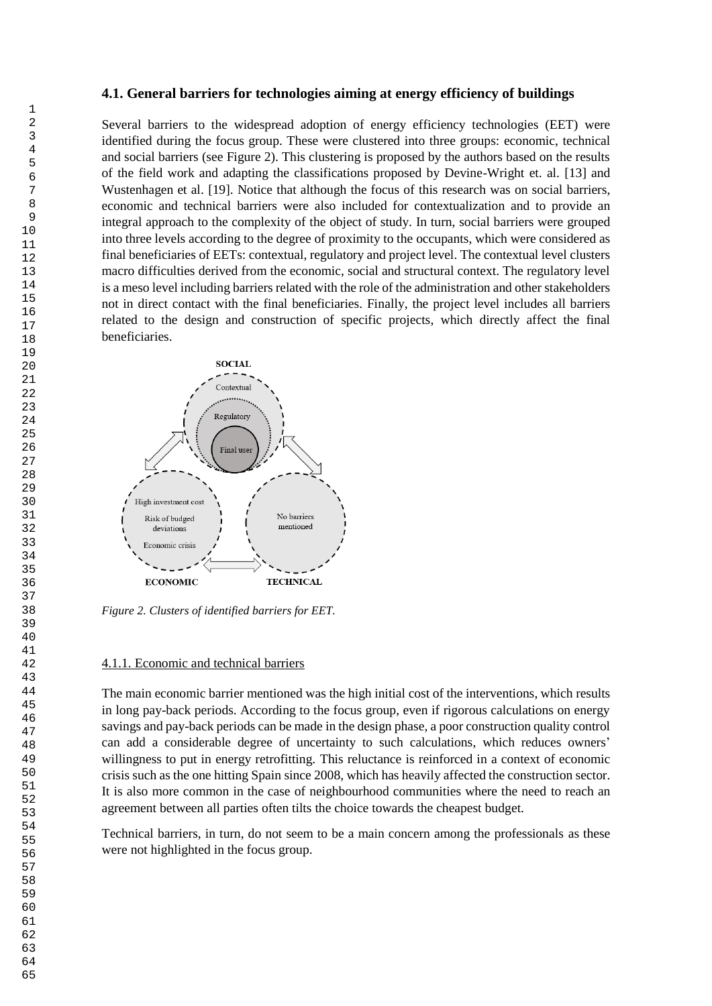#### **4.1. General barriers for technologies aiming at energy efficiency of buildings**

Several barriers to the widespread adoption of energy efficiency technologies (EET) were identified during the focus group. These were clustered into three groups: economic, technical and social barriers (see Figure 2). This clustering is proposed by the authors based on the results of the field work and adapting the classifications proposed by Devine-Wright et. al. [13] and Wustenhagen et al. [19]. Notice that although the focus of this research was on social barriers, economic and technical barriers were also included for contextualization and to provide an integral approach to the complexity of the object of study. In turn, social barriers were grouped into three levels according to the degree of proximity to the occupants, which were considered as final beneficiaries of EETs: contextual, regulatory and project level. The contextual level clusters macro difficulties derived from the economic, social and structural context. The regulatory level is a meso level including barriers related with the role of the administration and other stakeholders not in direct contact with the final beneficiaries. Finally, the project level includes all barriers related to the design and construction of specific projects, which directly affect the final beneficiaries.



*Figure 2. Clusters of identified barriers for EET.*

#### 4.1.1. Economic and technical barriers

The main economic barrier mentioned was the high initial cost of the interventions, which results in long pay-back periods. According to the focus group, even if rigorous calculations on energy savings and pay-back periods can be made in the design phase, a poor construction quality control can add a considerable degree of uncertainty to such calculations, which reduces owners' willingness to put in energy retrofitting. This reluctance is reinforced in a context of economic crisis such as the one hitting Spain since 2008, which has heavily affected the construction sector. It is also more common in the case of neighbourhood communities where the need to reach an agreement between all parties often tilts the choice towards the cheapest budget.

Technical barriers, in turn, do not seem to be a main concern among the professionals as these were not highlighted in the focus group.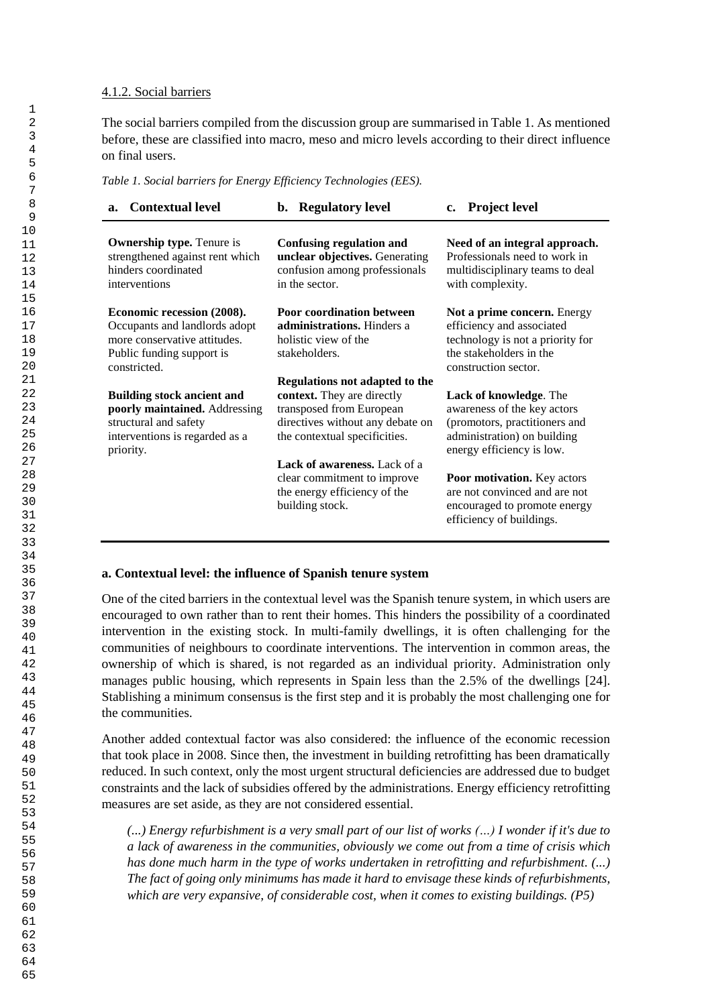### 4.1.2. Social barriers

The social barriers compiled from the discussion group are summarised in Table 1. As mentioned before, these are classified into macro, meso and micro levels according to their direct influence on final users.

*Table 1. Social barriers for Energy Efficiency Technologies (EES).*

| <b>Contextual level</b><br>a.                                                                                                              | <b>Regulatory level</b><br>b.                                                                                                                                 | c. Project level                                                                                                                                   |
|--------------------------------------------------------------------------------------------------------------------------------------------|---------------------------------------------------------------------------------------------------------------------------------------------------------------|----------------------------------------------------------------------------------------------------------------------------------------------------|
| <b>Ownership type.</b> Tenure is<br>strengthened against rent which<br>hinders coordinated<br>interventions                                | <b>Confusing regulation and</b><br>unclear objectives. Generating<br>confusion among professionals<br>in the sector.                                          | Need of an integral approach.<br>Professionals need to work in<br>multidisciplinary teams to deal<br>with complexity.                              |
| Economic recession (2008).<br>Occupants and landlords adopt<br>more conservative attitudes.<br>Public funding support is<br>constricted.   | <b>Poor coordination between</b><br>administrations. Hinders a<br>holistic view of the<br>stakeholders.                                                       | Not a prime concern. Energy<br>efficiency and associated<br>technology is not a priority for<br>the stakeholders in the<br>construction sector.    |
| <b>Building stock ancient and</b><br>poorly maintained. Addressing<br>structural and safety<br>interventions is regarded as a<br>priority. | Regulations not adapted to the<br>context. They are directly<br>transposed from European<br>directives without any debate on<br>the contextual specificities. | Lack of knowledge. The<br>awareness of the key actors<br>(promotors, practitioners and<br>administration) on building<br>energy efficiency is low. |
|                                                                                                                                            | <b>Lack of awareness.</b> Lack of a<br>clear commitment to improve<br>the energy efficiency of the<br>building stock.                                         | Poor motivation. Key actors<br>are not convinced and are not<br>encouraged to promote energy<br>efficiency of buildings.                           |

### **a. Contextual level: the influence of Spanish tenure system**

One of the cited barriers in the contextual level was the Spanish tenure system, in which users are encouraged to own rather than to rent their homes. This hinders the possibility of a coordinated intervention in the existing stock. In multi-family dwellings, it is often challenging for the communities of neighbours to coordinate interventions. The intervention in common areas, the ownership of which is shared, is not regarded as an individual priority. Administration only manages public housing, which represents in Spain less than the 2.5% of the dwellings [24]. Stablishing a minimum consensus is the first step and it is probably the most challenging one for the communities.

Another added contextual factor was also considered: the influence of the economic recession that took place in 2008. Since then, the investment in building retrofitting has been dramatically reduced. In such context, only the most urgent structural deficiencies are addressed due to budget constraints and the lack of subsidies offered by the administrations. Energy efficiency retrofitting measures are set aside, as they are not considered essential.

*(...) Energy refurbishment is a very small part of our list of works (…) I wonder if it's due to a lack of awareness in the communities, obviously we come out from a time of crisis which has done much harm in the type of works undertaken in retrofitting and refurbishment. (...) The fact of going only minimums has made it hard to envisage these kinds of refurbishments, which are very expansive, of considerable cost, when it comes to existing buildings. (P5)*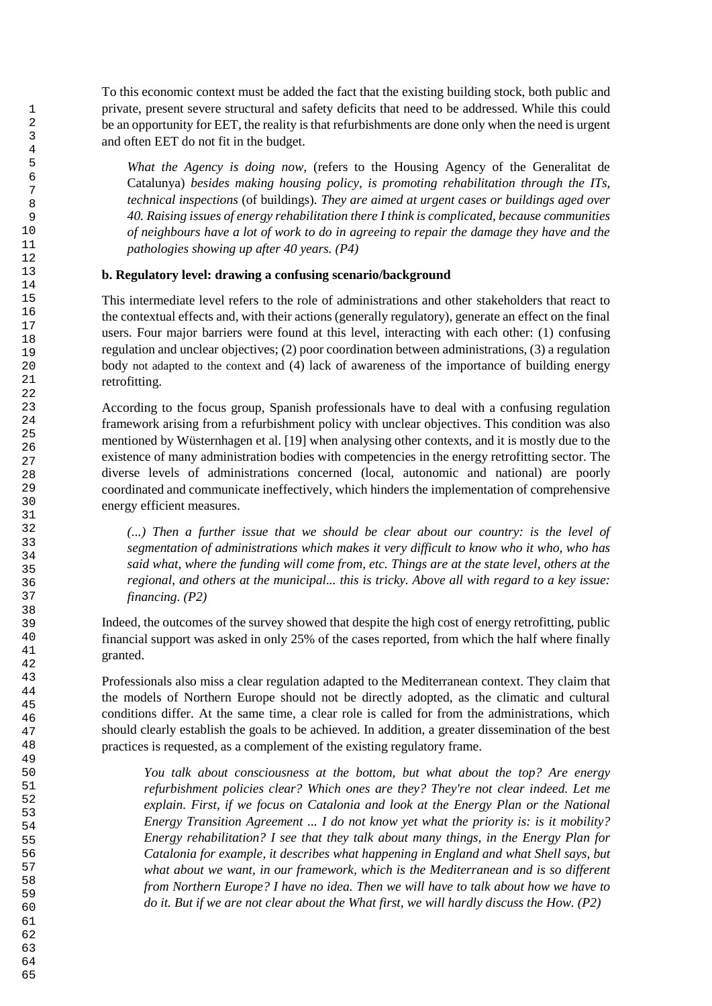To this economic context must be added the fact that the existing building stock, both public and private, present severe structural and safety deficits that need to be addressed. While this could be an opportunity for EET, the reality is that refurbishments are done only when the need is urgent and often EET do not fit in the budget.

*What the Agency is doing now,* (refers to the Housing Agency of the Generalitat de Catalunya) *besides making housing policy, is promoting rehabilitation through the ITs, technical inspections* (of buildings)*. They are aimed at urgent cases or buildings aged over 40. Raising issues of energy rehabilitation there I think is complicated, because communities of neighbours have a lot of work to do in agreeing to repair the damage they have and the pathologies showing up after 40 years. (P4)*

### **b. Regulatory level: drawing a confusing scenario/background**

This intermediate level refers to the role of administrations and other stakeholders that react to the contextual effects and, with their actions (generally regulatory), generate an effect on the final users. Four major barriers were found at this level, interacting with each other: (1) confusing regulation and unclear objectives; (2) poor coordination between administrations, (3) a regulation body not adapted to the context and (4) lack of awareness of the importance of building energy retrofitting.

According to the focus group, Spanish professionals have to deal with a confusing regulation framework arising from a refurbishment policy with unclear objectives. This condition was also mentioned by Wüsternhagen et al. [19] when analysing other contexts, and it is mostly due to the existence of many administration bodies with competencies in the energy retrofitting sector. The diverse levels of administrations concerned (local, autonomic and national) are poorly coordinated and communicate ineffectively, which hinders the implementation of comprehensive energy efficient measures.

*(...) Then a further issue that we should be clear about our country: is the level of segmentation of administrations which makes it very difficult to know who it who, who has said what, where the funding will come from, etc. Things are at the state level, others at the regional, and others at the municipal... this is tricky. Above all with regard to a key issue: financing. (P2)*

Indeed, the outcomes of the survey showed that despite the high cost of energy retrofitting, public financial support was asked in only 25% of the cases reported, from which the half where finally granted.

Professionals also miss a clear regulation adapted to the Mediterranean context. They claim that the models of Northern Europe should not be directly adopted, as the climatic and cultural conditions differ. At the same time, a clear role is called for from the administrations, which should clearly establish the goals to be achieved. In addition, a greater dissemination of the best practices is requested, as a complement of the existing regulatory frame.

*You talk about consciousness at the bottom, but what about the top? Are energy refurbishment policies clear? Which ones are they? They're not clear indeed. Let me explain. First, if we focus on Catalonia and look at the Energy Plan or the National Energy Transition Agreement ... I do not know yet what the priority is: is it mobility? Energy rehabilitation? I see that they talk about many things, in the Energy Plan for Catalonia for example, it describes what happening in England and what Shell says, but*  what about we want, in our framework, which is the Mediterranean and is so different *from Northern Europe? I have no idea. Then we will have to talk about how we have to do it. But if we are not clear about the What first, we will hardly discuss the How. (P2)*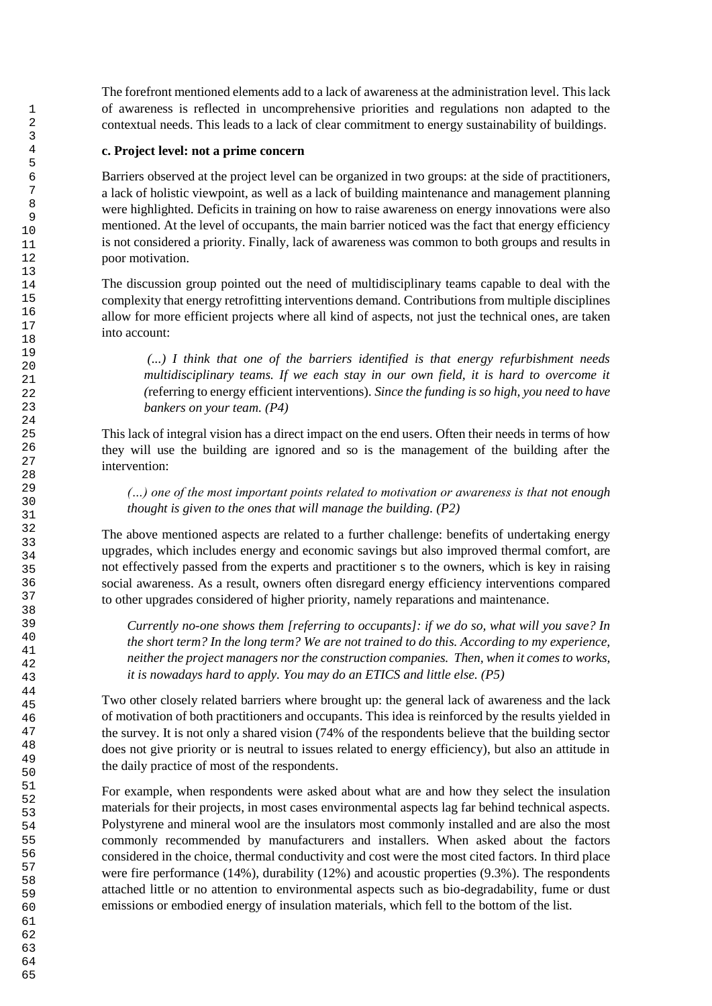The forefront mentioned elements add to a lack of awareness at the administration level. This lack of awareness is reflected in uncomprehensive priorities and regulations non adapted to the contextual needs. This leads to a lack of clear commitment to energy sustainability of buildings.

### **c. Project level: not a prime concern**

Barriers observed at the project level can be organized in two groups: at the side of practitioners, a lack of holistic viewpoint, as well as a lack of building maintenance and management planning were highlighted. Deficits in training on how to raise awareness on energy innovations were also mentioned. At the level of occupants, the main barrier noticed was the fact that energy efficiency is not considered a priority. Finally, lack of awareness was common to both groups and results in poor motivation.

The discussion group pointed out the need of multidisciplinary teams capable to deal with the complexity that energy retrofitting interventions demand. Contributions from multiple disciplines allow for more efficient projects where all kind of aspects, not just the technical ones, are taken into account:

*(...) I think that one of the barriers identified is that energy refurbishment needs multidisciplinary teams. If we each stay in our own field, it is hard to overcome it (*referring to energy efficient interventions)*. Since the funding is so high, you need to have bankers on your team. (P4)*

This lack of integral vision has a direct impact on the end users. Often their needs in terms of how they will use the building are ignored and so is the management of the building after the intervention:

*(…) one of the most important points related to motivation or awareness is that not enough thought is given to the ones that will manage the building. (P2)*

The above mentioned aspects are related to a further challenge: benefits of undertaking energy upgrades, which includes energy and economic savings but also improved thermal comfort, are not effectively passed from the experts and practitioner s to the owners, which is key in raising social awareness. As a result, owners often disregard energy efficiency interventions compared to other upgrades considered of higher priority, namely reparations and maintenance.

*Currently no-one shows them [referring to occupants]: if we do so, what will you save? In the short term? In the long term? We are not trained to do this. According to my experience, neither the project managers nor the construction companies. Then, when it comes to works, it is nowadays hard to apply. You may do an ETICS and little else. (P5)*

Two other closely related barriers where brought up: the general lack of awareness and the lack of motivation of both practitioners and occupants. This idea is reinforced by the results yielded in the survey. It is not only a shared vision (74% of the respondents believe that the building sector does not give priority or is neutral to issues related to energy efficiency), but also an attitude in the daily practice of most of the respondents.

For example, when respondents were asked about what are and how they select the insulation materials for their projects, in most cases environmental aspects lag far behind technical aspects. Polystyrene and mineral wool are the insulators most commonly installed and are also the most commonly recommended by manufacturers and installers. When asked about the factors considered in the choice, thermal conductivity and cost were the most cited factors. In third place were fire performance (14%), durability (12%) and acoustic properties (9.3%). The respondents attached little or no attention to environmental aspects such as bio-degradability, fume or dust emissions or embodied energy of insulation materials, which fell to the bottom of the list.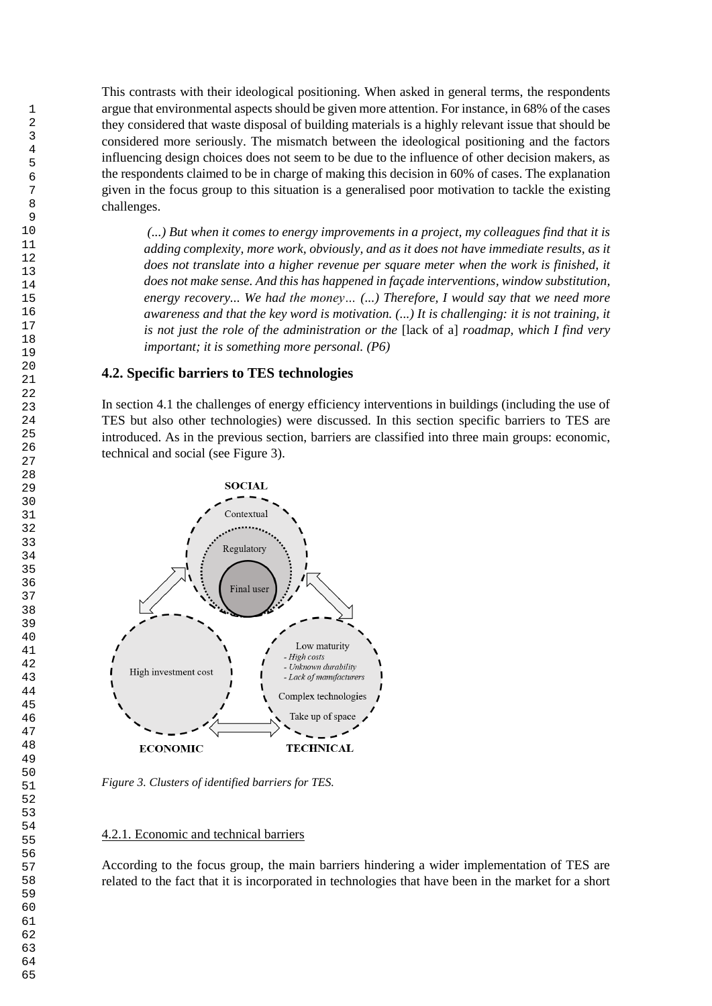This contrasts with their ideological positioning. When asked in general terms, the respondents argue that environmental aspects should be given more attention. For instance, in 68% of the cases they considered that waste disposal of building materials is a highly relevant issue that should be considered more seriously. The mismatch between the ideological positioning and the factors influencing design choices does not seem to be due to the influence of other decision makers, as the respondents claimed to be in charge of making this decision in 60% of cases. The explanation given in the focus group to this situation is a generalised poor motivation to tackle the existing challenges.

*(...) But when it comes to energy improvements in a project, my colleagues find that it is adding complexity, more work, obviously, and as it does not have immediate results, as it does not translate into a higher revenue per square meter when the work is finished, it does not make sense. And this has happened in façade interventions, window substitution, energy recovery... We had the money… (...) Therefore, I would say that we need more awareness and that the key word is motivation. (...) It is challenging: it is not training, it is not just the role of the administration or the* [lack of a] *roadmap, which I find very important; it is something more personal. (P6)*

### **4.2. Specific barriers to TES technologies**

In section 4.1 the challenges of energy efficiency interventions in buildings (including the use of TES but also other technologies) were discussed. In this section specific barriers to TES are introduced. As in the previous section, barriers are classified into three main groups: economic, technical and social (see Figure 3).



*Figure 3. Clusters of identified barriers for TES.*

#### 4.2.1. Economic and technical barriers

According to the focus group, the main barriers hindering a wider implementation of TES are related to the fact that it is incorporated in technologies that have been in the market for a short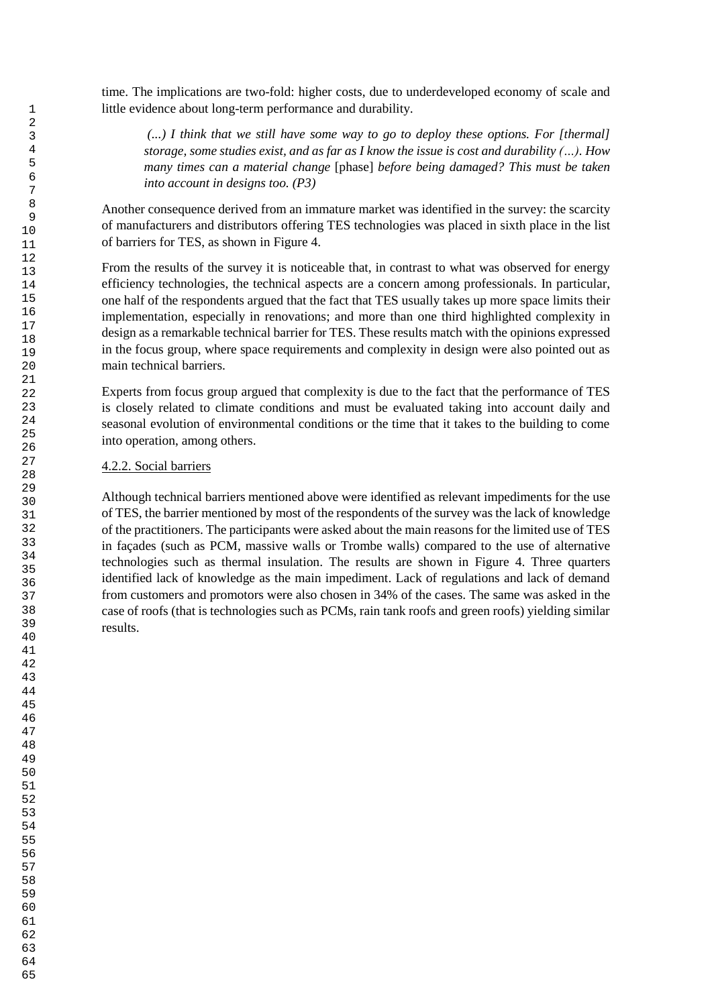time. The implications are two-fold: higher costs, due to underdeveloped economy of scale and little evidence about long-term performance and durability.

*(...) I think that we still have some way to go to deploy these options. For [thermal] storage, some studies exist, and as far as I know the issue is cost and durability (…). How many times can a material change* [phase] *before being damaged? This must be taken into account in designs too. (P3)*

Another consequence derived from an immature market was identified in the survey: the scarcity of manufacturers and distributors offering TES technologies was placed in sixth place in the list of barriers for TES, as shown in Figure 4.

From the results of the survey it is noticeable that, in contrast to what was observed for energy efficiency technologies, the technical aspects are a concern among professionals. In particular, one half of the respondents argued that the fact that TES usually takes up more space limits their implementation, especially in renovations; and more than one third highlighted complexity in design as a remarkable technical barrier for TES. These results match with the opinions expressed in the focus group, where space requirements and complexity in design were also pointed out as main technical barriers.

Experts from focus group argued that complexity is due to the fact that the performance of TES is closely related to climate conditions and must be evaluated taking into account daily and seasonal evolution of environmental conditions or the time that it takes to the building to come into operation, among others.

### 4.2.2. Social barriers

Although technical barriers mentioned above were identified as relevant impediments for the use of TES, the barrier mentioned by most of the respondents of the survey was the lack of knowledge of the practitioners. The participants were asked about the main reasons for the limited use of TES in façades (such as PCM, massive walls or Trombe walls) compared to the use of alternative technologies such as thermal insulation. The results are shown in Figure 4. Three quarters identified lack of knowledge as the main impediment. Lack of regulations and lack of demand from customers and promotors were also chosen in 34% of the cases. The same was asked in the case of roofs (that is technologies such as PCMs, rain tank roofs and green roofs) yielding similar results.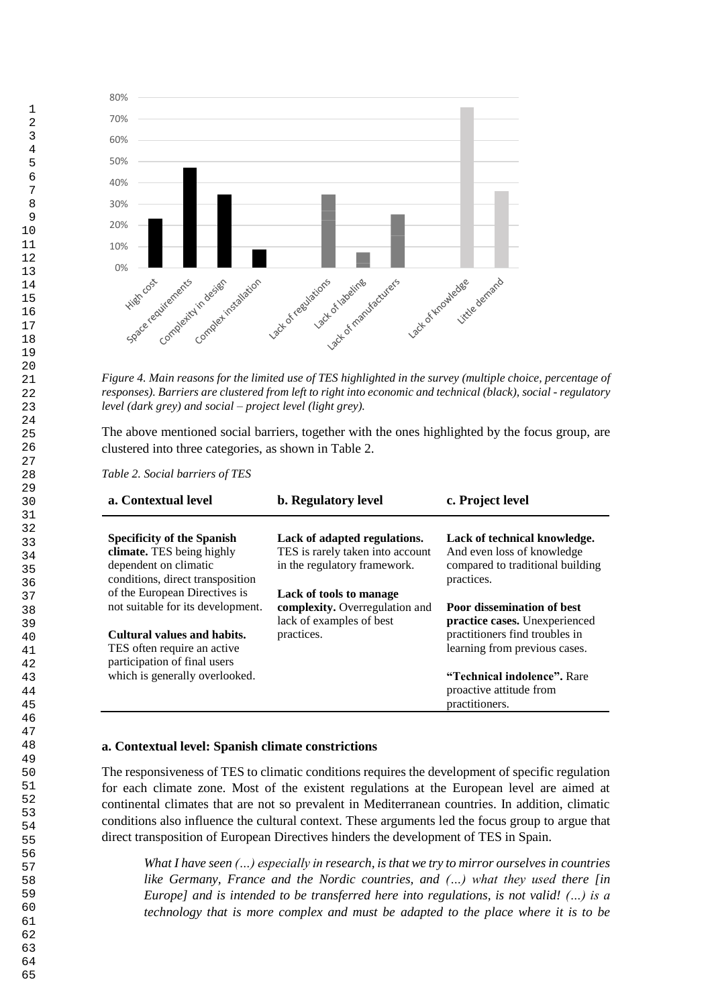

*Figure 4. Main reasons for the limited use of TES highlighted in the survey (multiple choice, percentage of responses). Barriers are clustered from left to right into economic and technical (black), social - regulatory level (dark grey) and social – project level (light grey).*

The above mentioned social barriers, together with the ones highlighted by the focus group, are clustered into three categories, as shown in Table 2.

*Table 2. Social barriers of TES*

| a. Contextual level                                                                                                                                              | <b>b.</b> Regulatory level                                                                                 | c. Project level                                                                                                                      |
|------------------------------------------------------------------------------------------------------------------------------------------------------------------|------------------------------------------------------------------------------------------------------------|---------------------------------------------------------------------------------------------------------------------------------------|
| <b>Specificity of the Spanish</b><br>climate. TES being highly<br>dependent on climatic<br>conditions, direct transposition                                      | Lack of adapted regulations.<br>TES is rarely taken into account<br>in the regulatory framework.           | Lack of technical knowledge.<br>And even loss of knowledge<br>compared to traditional building<br>practices.                          |
| of the European Directives is<br>not suitable for its development.<br>Cultural values and habits.<br>TES often require an active<br>participation of final users | Lack of tools to manage<br><b>complexity.</b> Overregulation and<br>lack of examples of best<br>practices. | <b>Poor dissemination of best</b><br>practice cases. Unexperienced<br>practitioners find troubles in<br>learning from previous cases. |
| which is generally overlooked.                                                                                                                                   |                                                                                                            | <b>"Technical indolence".</b> Rare<br>proactive attitude from<br>practitioners.                                                       |

### **a. Contextual level: Spanish climate constrictions**

The responsiveness of TES to climatic conditions requires the development of specific regulation for each climate zone. Most of the existent regulations at the European level are aimed at continental climates that are not so prevalent in Mediterranean countries. In addition, climatic conditions also influence the cultural context. These arguments led the focus group to argue that direct transposition of European Directives hinders the development of TES in Spain.

*What I have seen (…) especially in research, is that we try to mirror ourselves in countries like Germany, France and the Nordic countries, and (…) what they used there [in Europe] and is intended to be transferred here into regulations, is not valid! (…) is a technology that is more complex and must be adapted to the place where it is to be*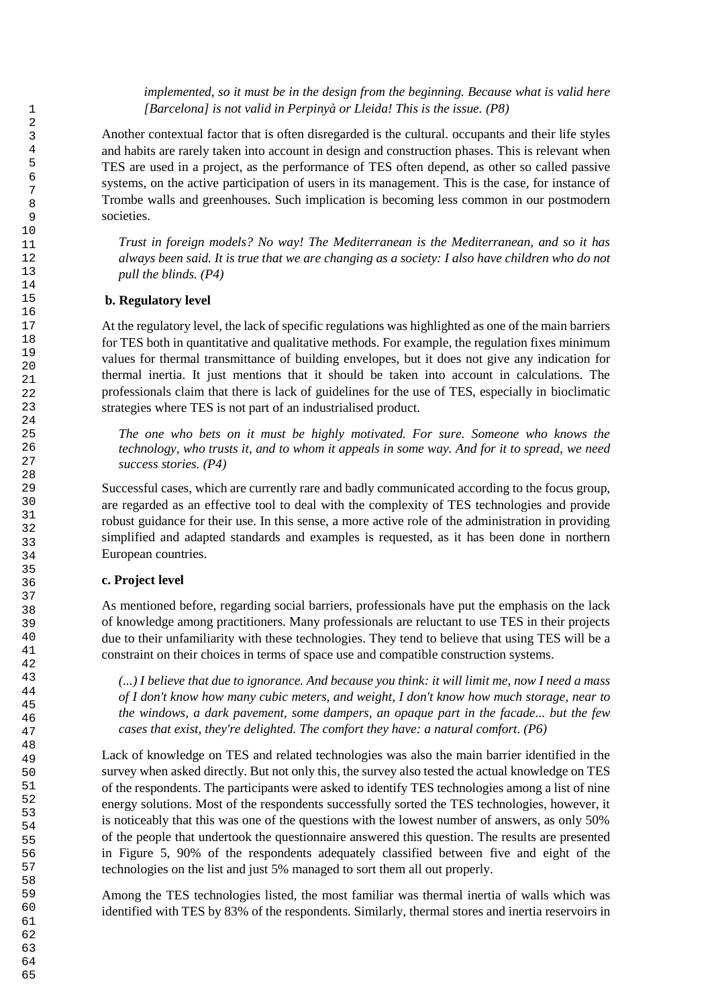*implemented, so it must be in the design from the beginning. Because what is valid here [Barcelona] is not valid in Perpinyà or Lleida! This is the issue. (P8)*

Another contextual factor that is often disregarded is the cultural. occupants and their life styles and habits are rarely taken into account in design and construction phases. This is relevant when TES are used in a project, as the performance of TES often depend, as other so called passive systems, on the active participation of users in its management. This is the case, for instance of Trombe walls and greenhouses. Such implication is becoming less common in our postmodern societies.

*Trust in foreign models? No way! The Mediterranean is the Mediterranean, and so it has always been said. It is true that we are changing as a society: I also have children who do not pull the blinds. (P4)*

### **b. Regulatory level**

At the regulatory level, the lack of specific regulations was highlighted as one of the main barriers for TES both in quantitative and qualitative methods. For example, the regulation fixes minimum values for thermal transmittance of building envelopes, but it does not give any indication for thermal inertia. It just mentions that it should be taken into account in calculations. The professionals claim that there is lack of guidelines for the use of TES, especially in bioclimatic strategies where TES is not part of an industrialised product.

*The one who bets on it must be highly motivated. For sure. Someone who knows the technology, who trusts it, and to whom it appeals in some way. And for it to spread, we need success stories. (P4)*

Successful cases, which are currently rare and badly communicated according to the focus group, are regarded as an effective tool to deal with the complexity of TES technologies and provide robust guidance for their use. In this sense, a more active role of the administration in providing simplified and adapted standards and examples is requested, as it has been done in northern European countries.

### **c. Project level**

As mentioned before, regarding social barriers, professionals have put the emphasis on the lack of knowledge among practitioners. Many professionals are reluctant to use TES in their projects due to their unfamiliarity with these technologies. They tend to believe that using TES will be a constraint on their choices in terms of space use and compatible construction systems.

*(...) I believe that due to ignorance. And because you think: it will limit me, now I need a mass of I don't know how many cubic meters, and weight, I don't know how much storage, near to the windows, a dark pavement, some dampers, an opaque part in the facade... but the few cases that exist, they're delighted. The comfort they have: a natural comfort. (P6)*

Lack of knowledge on TES and related technologies was also the main barrier identified in the survey when asked directly. But not only this, the survey also tested the actual knowledge on TES of the respondents. The participants were asked to identify TES technologies among a list of nine energy solutions. Most of the respondents successfully sorted the TES technologies, however, it is noticeably that this was one of the questions with the lowest number of answers, as only 50% of the people that undertook the questionnaire answered this question. The results are presented in Figure 5, 90% of the respondents adequately classified between five and eight of the technologies on the list and just 5% managed to sort them all out properly.

Among the TES technologies listed, the most familiar was thermal inertia of walls which was identified with TES by 83% of the respondents. Similarly, thermal stores and inertia reservoirs in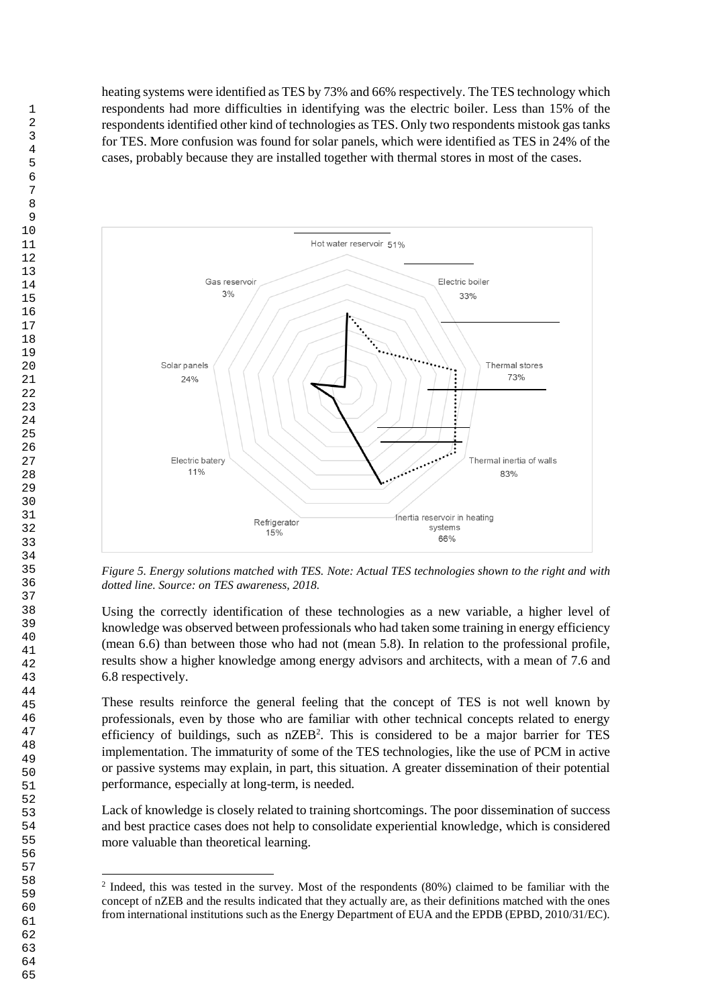heating systems were identified as TES by 73% and 66% respectively. The TES technology which respondents had more difficulties in identifying was the electric boiler. Less than 15% of the respondents identified other kind of technologies as TES. Only two respondents mistook gas tanks for TES. More confusion was found for solar panels, which were identified as TES in 24% of the cases, probably because they are installed together with thermal stores in most of the cases.



*Figure 5. Energy solutions matched with TES. Note: Actual TES technologies shown to the right and with dotted line. Source: on TES awareness, 2018.* 

Using the correctly identification of these technologies as a new variable, a higher level of knowledge was observed between professionals who had taken some training in energy efficiency (mean 6.6) than between those who had not (mean 5.8). In relation to the professional profile, results show a higher knowledge among energy advisors and architects, with a mean of 7.6 and 6.8 respectively.

These results reinforce the general feeling that the concept of TES is not well known by professionals, even by those who are familiar with other technical concepts related to energy efficiency of buildings, such as  $nZEB^2$ . This is considered to be a major barrier for TES implementation. The immaturity of some of the TES technologies, like the use of PCM in active or passive systems may explain, in part, this situation. A greater dissemination of their potential performance, especially at long-term, is needed.

Lack of knowledge is closely related to training shortcomings. The poor dissemination of success and best practice cases does not help to consolidate experiential knowledge, which is considered more valuable than theoretical learning.

 Indeed, this was tested in the survey. Most of the respondents (80%) claimed to be familiar with the concept of nZEB and the results indicated that they actually are, as their definitions matched with the ones from international institutions such as the Energy Department of EUA and the EPDB (EPBD, 2010/31/EC).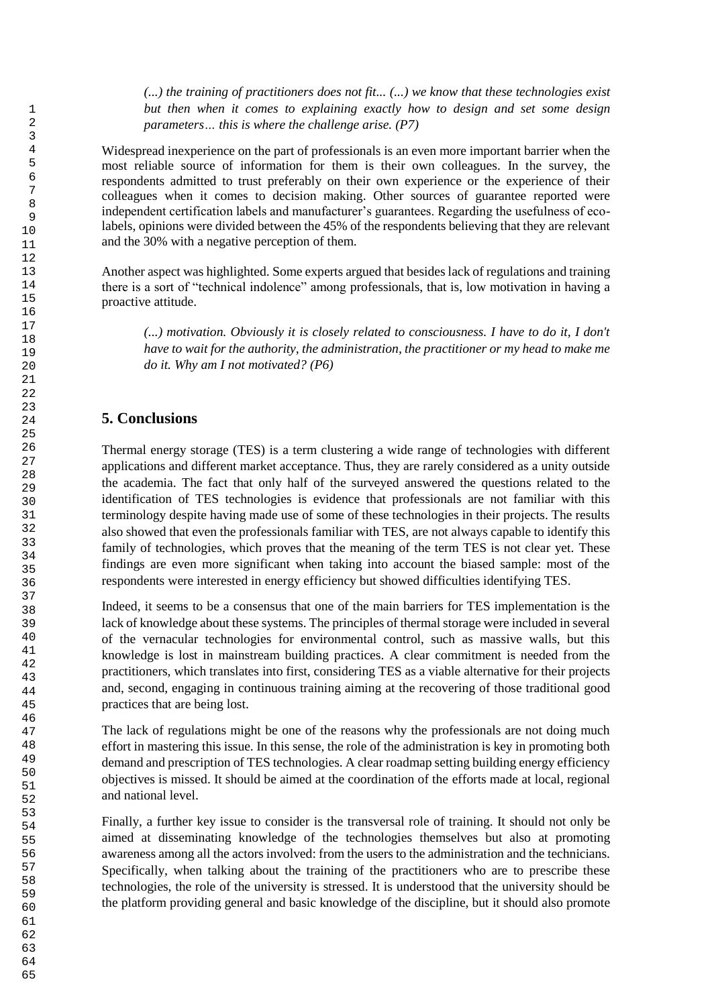*(...) the training of practitioners does not fit... (...) we know that these technologies exist but then when it comes to explaining exactly how to design and set some design parameters… this is where the challenge arise. (P7)*

Widespread inexperience on the part of professionals is an even more important barrier when the most reliable source of information for them is their own colleagues. In the survey, the respondents admitted to trust preferably on their own experience or the experience of their colleagues when it comes to decision making. Other sources of guarantee reported were independent certification labels and manufacturer's guarantees. Regarding the usefulness of ecolabels, opinions were divided between the 45% of the respondents believing that they are relevant and the 30% with a negative perception of them.

Another aspect was highlighted. Some experts argued that besides lack of regulations and training there is a sort of "technical indolence" among professionals, that is, low motivation in having a proactive attitude.

*(...) motivation. Obviously it is closely related to consciousness. I have to do it, I don't have to wait for the authority, the administration, the practitioner or my head to make me do it. Why am I not motivated? (P6)*

# **5. Conclusions**

Thermal energy storage (TES) is a term clustering a wide range of technologies with different applications and different market acceptance. Thus, they are rarely considered as a unity outside the academia. The fact that only half of the surveyed answered the questions related to the identification of TES technologies is evidence that professionals are not familiar with this terminology despite having made use of some of these technologies in their projects. The results also showed that even the professionals familiar with TES, are not always capable to identify this family of technologies, which proves that the meaning of the term TES is not clear yet. These findings are even more significant when taking into account the biased sample: most of the respondents were interested in energy efficiency but showed difficulties identifying TES.

Indeed, it seems to be a consensus that one of the main barriers for TES implementation is the lack of knowledge about these systems. The principles of thermal storage were included in several of the vernacular technologies for environmental control, such as massive walls, but this knowledge is lost in mainstream building practices. A clear commitment is needed from the practitioners, which translates into first, considering TES as a viable alternative for their projects and, second, engaging in continuous training aiming at the recovering of those traditional good practices that are being lost.

The lack of regulations might be one of the reasons why the professionals are not doing much effort in mastering this issue. In this sense, the role of the administration is key in promoting both demand and prescription of TES technologies. A clear roadmap setting building energy efficiency objectives is missed. It should be aimed at the coordination of the efforts made at local, regional and national level.

Finally, a further key issue to consider is the transversal role of training. It should not only be aimed at disseminating knowledge of the technologies themselves but also at promoting awareness among all the actors involved: from the users to the administration and the technicians. Specifically, when talking about the training of the practitioners who are to prescribe these technologies, the role of the university is stressed. It is understood that the university should be the platform providing general and basic knowledge of the discipline, but it should also promote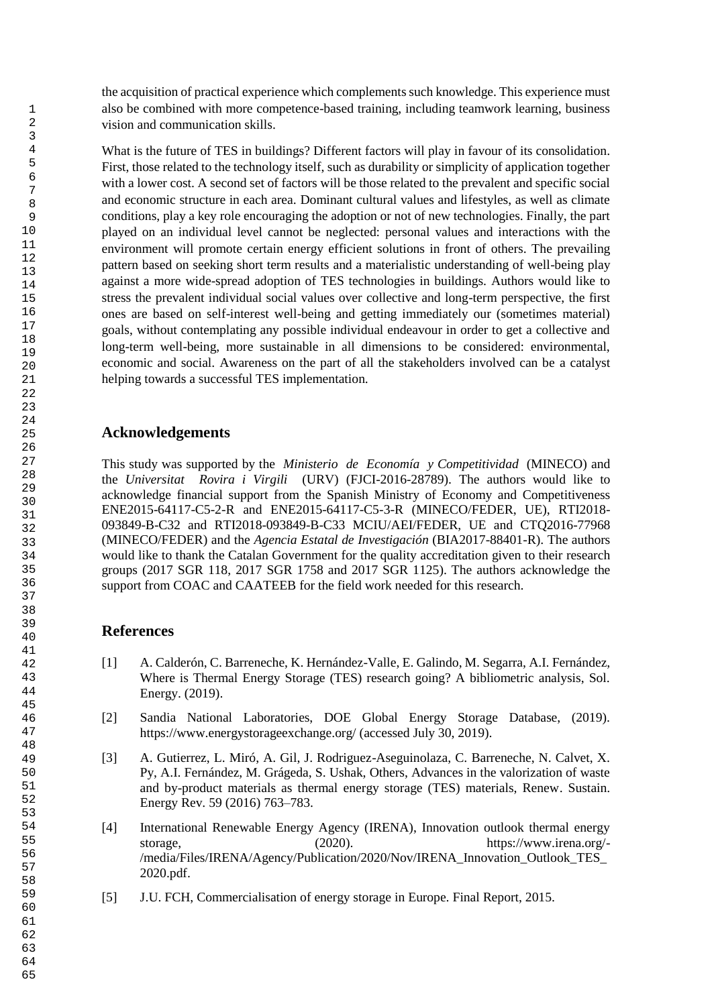the acquisition of practical experience which complements such knowledge. This experience must also be combined with more competence-based training, including teamwork learning, business vision and communication skills.

What is the future of TES in buildings? Different factors will play in favour of its consolidation. First, those related to the technology itself, such as durability or simplicity of application together with a lower cost. A second set of factors will be those related to the prevalent and specific social and economic structure in each area. Dominant cultural values and lifestyles, as well as climate conditions, play a key role encouraging the adoption or not of new technologies. Finally, the part played on an individual level cannot be neglected: personal values and interactions with the environment will promote certain energy efficient solutions in front of others. The prevailing pattern based on seeking short term results and a materialistic understanding of well-being play against a more wide-spread adoption of TES technologies in buildings. Authors would like to stress the prevalent individual social values over collective and long-term perspective, the first ones are based on self-interest well-being and getting immediately our (sometimes material) goals, without contemplating any possible individual endeavour in order to get a collective and long-term well-being, more sustainable in all dimensions to be considered: environmental, economic and social. Awareness on the part of all the stakeholders involved can be a catalyst helping towards a successful TES implementation.

# **Acknowledgements**

This study was supported by the *Ministerio de Economía y Competitividad* (MINECO) and the *Universitat Rovira i Virgili* (URV) (FJCI-2016-28789). The authors would like to acknowledge financial support from the Spanish Ministry of Economy and Competitiveness ENE2015-64117-C5-2-R and ENE2015-64117-C5-3-R (MINECO/FEDER, UE), RTI2018- 093849-B-C32 and RTI2018-093849-B-C33 MCIU/AEI/FEDER, UE and CTQ2016-77968 (MINECO/FEDER) and the *Agencia Estatal de Investigación* (BIA2017-88401-R). The authors would like to thank the Catalan Government for the quality accreditation given to their research groups (2017 SGR 118, 2017 SGR 1758 and 2017 SGR 1125). The authors acknowledge the support from COAC and CAATEEB for the field work needed for this research.

# **References**

- [1] A. Calderón, C. Barreneche, K. Hernández-Valle, E. Galindo, M. Segarra, A.I. Fernández, Where is Thermal Energy Storage (TES) research going? A bibliometric analysis, Sol. Energy. (2019).
- [2] Sandia National Laboratories, DOE Global Energy Storage Database, (2019). https://www.energystorageexchange.org/ (accessed July 30, 2019).
- [3] A. Gutierrez, L. Miró, A. Gil, J. Rodriguez-Aseguinolaza, C. Barreneche, N. Calvet, X. Py, A.I. Fernández, M. Grágeda, S. Ushak, Others, Advances in the valorization of waste and by-product materials as thermal energy storage (TES) materials, Renew. Sustain. Energy Rev. 59 (2016) 763–783.
- [4] International Renewable Energy Agency (IRENA), Innovation outlook thermal energy storage, (2020). https://www.irena.org/-/media/Files/IRENA/Agency/Publication/2020/Nov/IRENA\_Innovation\_Outlook\_TES\_ 2020.pdf.
- [5] J.U. FCH, Commercialisation of energy storage in Europe. Final Report, 2015.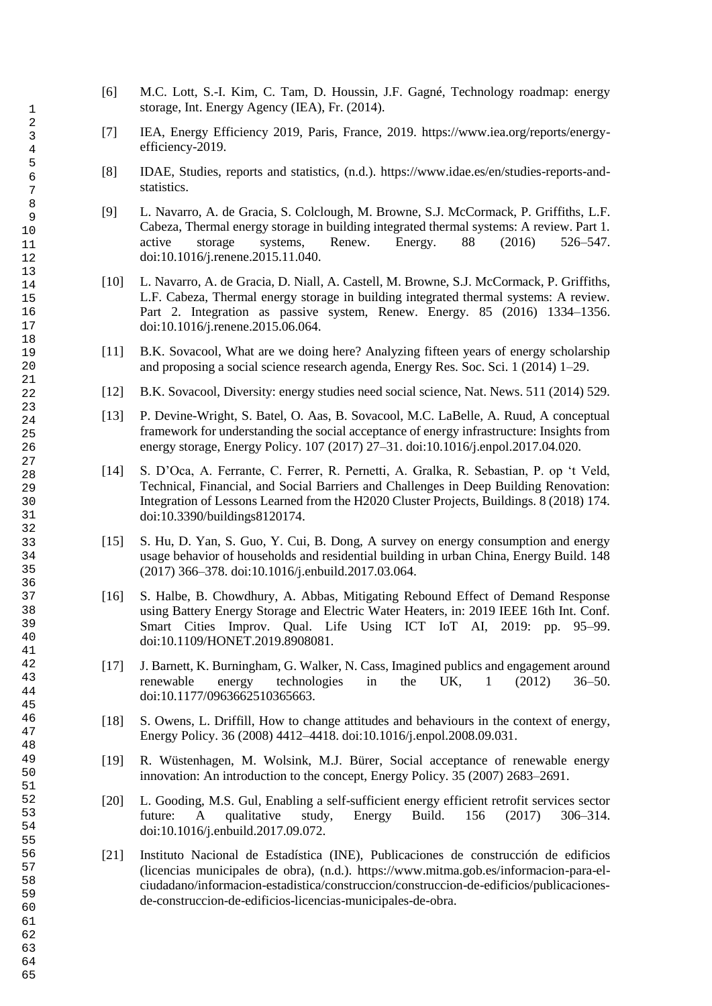- [6] M.C. Lott, S.-I. Kim, C. Tam, D. Houssin, J.F. Gagné, Technology roadmap: energy storage, Int. Energy Agency (IEA), Fr. (2014).
- [7] IEA, Energy Efficiency 2019, Paris, France, 2019. https://www.iea.org/reports/energyefficiency-2019.
- [8] IDAE, Studies, reports and statistics, (n.d.). https://www.idae.es/en/studies-reports-andstatistics.
- [9] L. Navarro, A. de Gracia, S. Colclough, M. Browne, S.J. McCormack, P. Griffiths, L.F. Cabeza, Thermal energy storage in building integrated thermal systems: A review. Part 1. active storage systems, Renew. Energy. 88 (2016) 526–547. doi:10.1016/j.renene.2015.11.040.
- [10] L. Navarro, A. de Gracia, D. Niall, A. Castell, M. Browne, S.J. McCormack, P. Griffiths, L.F. Cabeza, Thermal energy storage in building integrated thermal systems: A review. Part 2. Integration as passive system, Renew. Energy. 85 (2016) 1334–1356. doi:10.1016/j.renene.2015.06.064.
- [11] B.K. Sovacool, What are we doing here? Analyzing fifteen years of energy scholarship and proposing a social science research agenda, Energy Res. Soc. Sci. 1 (2014) 1–29.
- [12] B.K. Sovacool, Diversity: energy studies need social science, Nat. News. 511 (2014) 529.
- [13] P. Devine-Wright, S. Batel, O. Aas, B. Sovacool, M.C. LaBelle, A. Ruud, A conceptual framework for understanding the social acceptance of energy infrastructure: Insights from energy storage, Energy Policy. 107 (2017) 27–31. doi:10.1016/j.enpol.2017.04.020.
- [14] S. D'Oca, A. Ferrante, C. Ferrer, R. Pernetti, A. Gralka, R. Sebastian, P. op 't Veld, Technical, Financial, and Social Barriers and Challenges in Deep Building Renovation: Integration of Lessons Learned from the H2020 Cluster Projects, Buildings. 8 (2018) 174. doi:10.3390/buildings8120174.
- [15] S. Hu, D. Yan, S. Guo, Y. Cui, B. Dong, A survey on energy consumption and energy usage behavior of households and residential building in urban China, Energy Build. 148 (2017) 366–378. doi:10.1016/j.enbuild.2017.03.064.
- [16] S. Halbe, B. Chowdhury, A. Abbas, Mitigating Rebound Effect of Demand Response using Battery Energy Storage and Electric Water Heaters, in: 2019 IEEE 16th Int. Conf. Smart Cities Improv. Qual. Life Using ICT IoT AI, 2019: pp. 95–99. doi:10.1109/HONET.2019.8908081.
- [17] J. Barnett, K. Burningham, G. Walker, N. Cass, Imagined publics and engagement around renewable energy technologies in the UK, 1 (2012) 36–50. doi:10.1177/0963662510365663.
- [18] S. Owens, L. Driffill, How to change attitudes and behaviours in the context of energy, Energy Policy. 36 (2008) 4412–4418. doi:10.1016/j.enpol.2008.09.031.
- [19] R. Wüstenhagen, M. Wolsink, M.J. Bürer, Social acceptance of renewable energy innovation: An introduction to the concept, Energy Policy. 35 (2007) 2683–2691.
- [20] L. Gooding, M.S. Gul, Enabling a self-sufficient energy efficient retrofit services sector future: A qualitative study, Energy Build. 156 (2017) 306–314. doi:10.1016/j.enbuild.2017.09.072.
- [21] Instituto Nacional de Estadística (INE), Publicaciones de construcción de edificios (licencias municipales de obra), (n.d.). https://www.mitma.gob.es/informacion-para-elciudadano/informacion-estadistica/construccion/construccion-de-edificios/publicacionesde-construccion-de-edificios-licencias-municipales-de-obra.